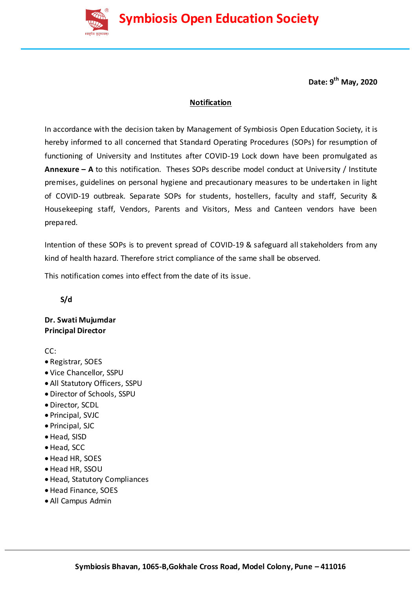

**Date: 9 th May, 2020**

### **Notification**

In accordance with the decision taken by Management of Symbiosis Open Education Society, it is hereby informed to all concerned that Standard Operating Procedures (SOPs) for resumption of functioning of University and Institutes after COVID-19 Lock down have been promulgated as **Annexure – A** to this notification. Theses SOPs describe model conduct at University / Institute premises, guidelines on personal hygiene and precautionary measures to be undertaken in light of COVID-19 outbreak. Separate SOPs for students, hostellers, faculty and staff, Security & Housekeeping staff, Vendors, Parents and Visitors, Mess and Canteen vendors have been prepared.

Intention of these SOPs is to prevent spread of COVID-19 & safeguard all stakeholders from any kind of health hazard. Therefore strict compliance of the same shall be observed.

This notification comes into effect from the date of its issue.

 **S/d**

**Dr. Swati Mujumdar Principal Director**

CC:

- Registrar, SOES
- Vice Chancellor, SSPU
- All Statutory Officers, SSPU
- Director of Schools, SSPU
- Director, SCDL
- Principal, SVJC
- Principal, SJC
- Head, SISD
- Head, SCC
- Head HR, SOES
- Head HR, SSOU
- Head, Statutory Compliances
- Head Finance, SOES
- All Campus Admin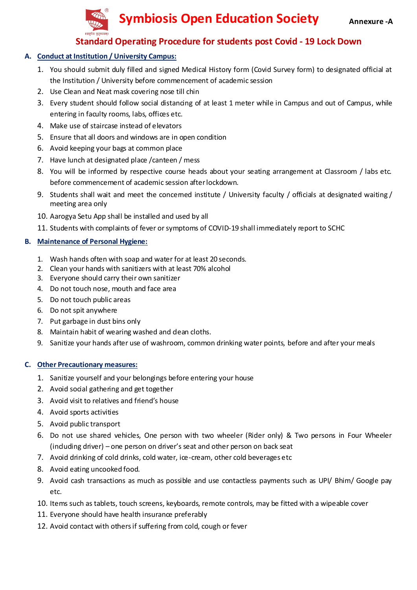

## **Standard Operating Procedure for students post Covid - 19 Lock Down**

### **A. Conduct at Institution / University Campus:**

- 1. You should submit duly filled and signed Medical History form (Covid Survey form) to designated official at the Institution / University before commencement of academic session
- 2. Use Clean and Neat mask covering nose till chin
- 3. Every student should follow social distancing of at least 1 meter while in Campus and out of Campus, while entering in faculty rooms, labs, offices etc.
- 4. Make use of staircase instead of elevators
- 5. Ensure that all doors and windows are in open condition
- 6. Avoid keeping your bags at common place
- 7. Have lunch at designated place /canteen / mess
- 8. You will be informed by respective course heads about your seating arrangement at Classroom / labs etc. before commencement of academic session after lockdown.
- 9. Students shall wait and meet the concerned institute / University faculty / officials at designated waiting / meeting area only
- 10. Aarogya Setu App shall be installed and used by all
- 11. Students with complaints of fever or symptoms of COVID-19 shall immediately report to SCHC

### **B. Maintenance of Personal Hygiene:**

- 1. Wash hands often with soap and water for at least 20 seconds.
- 2. Clean your hands with sanitizers with at least 70% alcohol
- 3. Everyone should carry their own sanitizer
- 4. Do not touch nose, mouth and face area
- 5. Do not touch public areas
- 6. Do not spit anywhere
- 7. Put garbage in dust bins only
- 8. Maintain habit of wearing washed and dean cloths.
- 9. Sanitize your hands after use of washroom, common drinking water points, before and after your meals

- 1. Sanitize yourself and your belongings before entering your house
- 2. Avoid social gathering and get together
- 3. Avoid visit to relatives and friend's house
- 4. Avoid sports activities
- 5. Avoid public transport
- 6. Do not use shared vehicles, One person with two wheeler (Rider only) & Two persons in Four Wheeler (including driver) – one person on driver's seat and other person on back seat
- 7. Avoid drinking of cold drinks, cold water, ice-cream, other cold beverages etc
- 8. Avoid eating uncooked food.
- 9. Avoid cash transactions as much as possible and use contactless payments such as UPI/ Bhim/ Google pay etc.
- 10. Items such as tablets, touch screens, keyboards, remote controls, may be fitted with a wipeable cover
- 11. Everyone should have health insurance preferably
- 12. Avoid contact with others if suffering from cold, cough or fever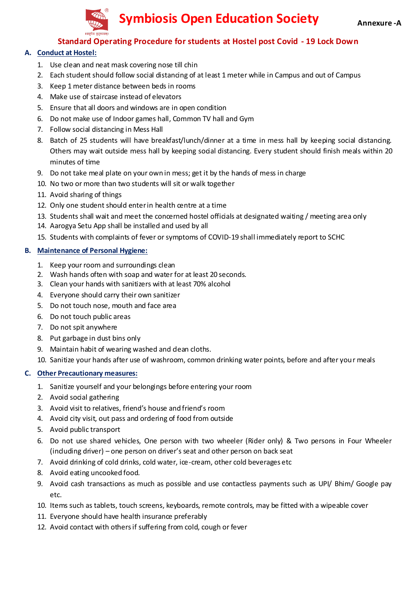

## **Standard Operating Procedure for students at Hostel post Covid - 19 Lock Down**

### **A. Conduct at Hostel:**

- 1. Use clean and neat mask covering nose till chin
- 2. Each student should follow social distancing of at least 1 meter while in Campus and out of Campus
- 3. Keep 1 meter distance between beds in rooms
- 4. Make use of staircase instead of elevators
- 5. Ensure that all doors and windows are in open condition
- 6. Do not make use of Indoor games hall, Common TV hall and Gym
- 7. Follow social distancing in Mess Hall
- 8. Batch of 25 students will have breakfast/lunch/dinner at a time in mess hall by keeping social distancing. Others may wait outside mess hall by keeping social distancing. Every student should finish meals within 20 minutes of time
- 9. Do not take meal plate on your own in mess; get it by the hands of mess in charge
- 10. No two or more than two students will sit or walk together
- 11. Avoid sharing of things
- 12. Only one student should enter in health centre at a time
- 13. Students shall wait and meet the concerned hostel officials at designated waiting / meeting area only
- 14. Aarogya Setu App shall be installed and used by all
- 15. Students with complaints of fever or symptoms of COVID-19 shall immediately report to SCHC

#### **B. Maintenance of Personal Hygiene:**

- 1. Keep your room and surroundings clean
- 2. Wash hands often with soap and water for at least 20 seconds.
- 3. Clean your hands with sanitizers with at least 70% alcohol
- 4. Everyone should carry their own sanitizer
- 5. Do not touch nose, mouth and face area
- 6. Do not touch public areas
- 7. Do not spit anywhere
- 8. Put garbage in dust bins only
- 9. Maintain habit of wearing washed and dean cloths.
- 10. Sanitize your hands after use of washroom, common drinking water points, before and after your meals

- 1. Sanitize yourself and your belongings before entering your room
- 2. Avoid social gathering
- 3. Avoid visit to relatives, friend's house and friend's room
- 4. Avoid city visit, out pass and ordering of food from outside
- 5. Avoid public transport
- 6. Do not use shared vehicles, One person with two wheeler (Rider only) & Two persons in Four Wheeler (including driver) – one person on driver's seat and other person on back seat
- 7. Avoid drinking of cold drinks, cold water, ice-cream, other cold beverages etc
- 8. Avoid eating uncooked food.
- 9. Avoid cash transactions as much as possible and use contactless payments such as UPI/ Bhim/ Google pay etc.
- 10. Items such as tablets, touch screens, keyboards, remote controls, may be fitted with a wipeable cover
- 11. Everyone should have health insurance preferably
- 12. Avoid contact with others if suffering from cold, cough or fever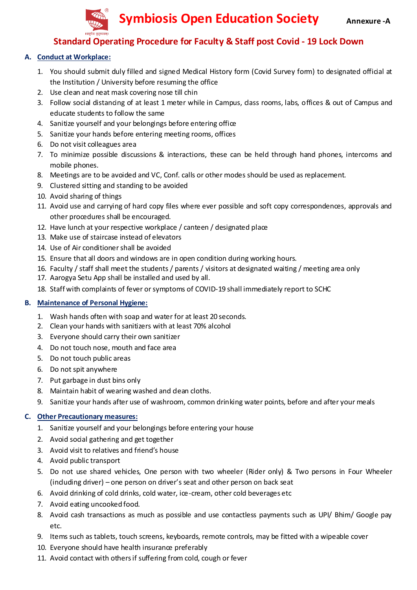

## **Standard Operating Procedure for Faculty & Staff post Covid - 19 Lock Down**

### **A. Conduct at Workplace:**

- 1. You should submit duly filled and signed Medical History form (Covid Survey form) to designated official at the Institution / University before resuming the office
- 2. Use clean and neat mask covering nose till chin
- 3. Follow social distancing of at least 1 meter while in Campus, dass rooms, labs, offices & out of Campus and educate students to follow the same
- 4. Sanitize yourself and your belongings before entering office
- 5. Sanitize your hands before entering meeting rooms, offices
- 6. Do not visit colleagues area
- 7. To minimize possible discussions & interactions, these can be held through hand phones, intercoms and mobile phones.
- 8. Meetings are to be avoided and VC, Conf. calls or other modes should be used as replacement.
- 9. Clustered sitting and standing to be avoided
- 10. Avoid sharing of things
- 11. Avoid use and carrying of hard copy files where ever possible and soft copy correspondences, approvals and other procedures shall be encouraged.
- 12. Have lunch at your respective workplace / canteen / designated place
- 13. Make use of staircase instead of elevators
- 14. Use of Air conditioner shall be avoided
- 15. Ensure that all doors and windows are in open condition during working hours.
- 16. Faculty / staff shall meet the students / parents / visitors at designated waiting / meeting area only
- 17. Aarogya Setu App shall be installed and used by all.
- 18. Staff with complaints of fever or symptoms of COVID-19 shall immediately report to SCHC

#### **B. Maintenance of Personal Hygiene:**

- 1. Wash hands often with soap and water for at least 20 seconds.
- 2. Clean your hands with sanitizers with at least 70% alcohol
- 3. Everyone should carry their own sanitizer
- 4. Do not touch nose, mouth and face area
- 5. Do not touch public areas
- 6. Do not spit anywhere
- 7. Put garbage in dust bins only
- 8. Maintain habit of wearing washed and dean cloths.
- 9. Sanitize your hands after use of washroom, common drinking water points, before and after your meals

- 1. Sanitize yourself and your belongings before entering your house
- 2. Avoid social gathering and get together
- 3. Avoid visit to relatives and friend's house
- 4. Avoid public transport
- 5. Do not use shared vehicles, One person with two wheeler (Rider only) & Two persons in Four Wheeler (including driver) – one person on driver's seat and other person on back seat
- 6. Avoid drinking of cold drinks, cold water, ice-cream, other cold beverages etc
- 7. Avoid eating uncooked food.
- 8. Avoid cash transactions as much as possible and use contactless payments such as UPI/ Bhim/ Google pay etc.
- 9. Items such as tablets, touch screens, keyboards, remote controls, may be fitted with a wipeable cover
- 10. Everyone should have health insurance preferably
- 11. Avoid contact with others if suffering from cold, cough or fever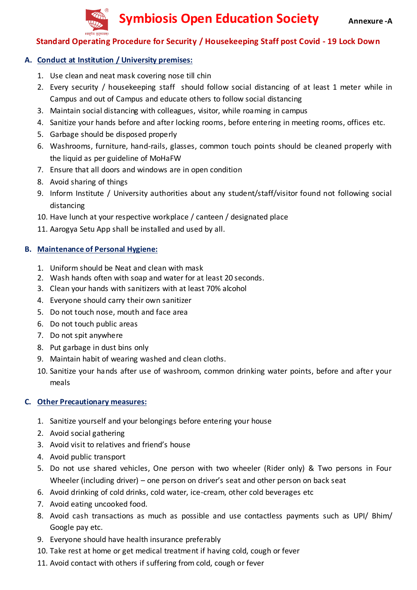

## **Standard Operating Procedure for Security / Housekeeping Staff post Covid - 19 Lock Down**

## **A. Conduct at Institution / University premises:**

- 1. Use clean and neat mask covering nose till chin
- 2. Every security / housekeeping staff should follow social distancing of at least 1 meter while in Campus and out of Campus and educate others to follow social distancing
- 3. Maintain social distancing with colleagues, visitor, while roaming in campus
- 4. Sanitize your hands before and after locking rooms, before entering in meeting rooms, offices etc.
- 5. Garbage should be disposed properly
- 6. Washrooms, furniture, hand-rails, glasses, common touch points should be cleaned properly with the liquid as per guideline of MoHaFW
- 7. Ensure that all doors and windows are in open condition
- 8. Avoid sharing of things
- 9. Inform Institute / University authorities about any student/staff/visitor found not following social distancing
- 10. Have lunch at your respective workplace / canteen / designated place
- 11. Aarogya Setu App shall be installed and used by all.

## **B. Maintenance of Personal Hygiene:**

- 1. Uniform should be Neat and clean with mask
- 2. Wash hands often with soap and water for at least 20 seconds.
- 3. Clean your hands with sanitizers with at least 70% alcohol
- 4. Everyone should carry their own sanitizer
- 5. Do not touch nose, mouth and face area
- 6. Do not touch public areas
- 7. Do not spit anywhere
- 8. Put garbage in dust bins only
- 9. Maintain habit of wearing washed and clean cloths.
- 10. Sanitize your hands after use of washroom, common drinking water points, before and after your meals

- 1. Sanitize yourself and your belongings before entering your house
- 2. Avoid social gathering
- 3. Avoid visit to relatives and friend's house
- 4. Avoid public transport
- 5. Do not use shared vehicles, One person with two wheeler (Rider only) & Two persons in Four Wheeler (including driver) – one person on driver's seat and other person on back seat
- 6. Avoid drinking of cold drinks, cold water, ice-cream, other cold beverages etc
- 7. Avoid eating uncooked food.
- 8. Avoid cash transactions as much as possible and use contactless payments such as UPI/ Bhim/ Google pay etc.
- 9. Everyone should have health insurance preferably
- 10. Take rest at home or get medical treatment if having cold, cough or fever
- 11. Avoid contact with others if suffering from cold, cough or fever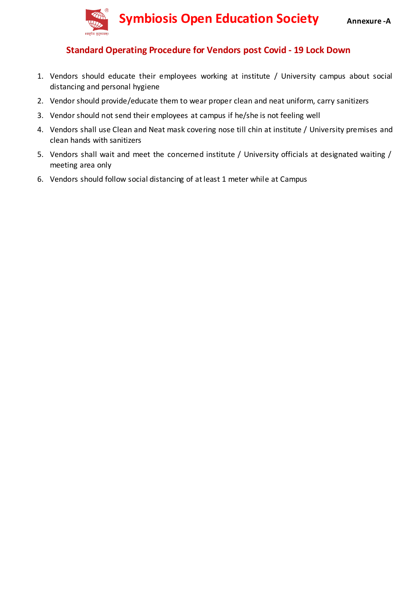

## **Standard Operating Procedure for Vendors post Covid - 19 Lock Down**

- 1. Vendors should educate their employees working at institute / University campus about social distancing and personal hygiene
- 2. Vendor should provide/educate them to wear proper clean and neat uniform, carry sanitizers
- 3. Vendor should not send their employees at campus if he/she is not feeling well
- 4. Vendors shall use Clean and Neat mask covering nose till chin at institute / University premises and clean hands with sanitizers
- 5. Vendors shall wait and meet the concerned institute / University officials at designated waiting / meeting area only
- 6. Vendors should follow social distancing of at least 1 meter while at Campus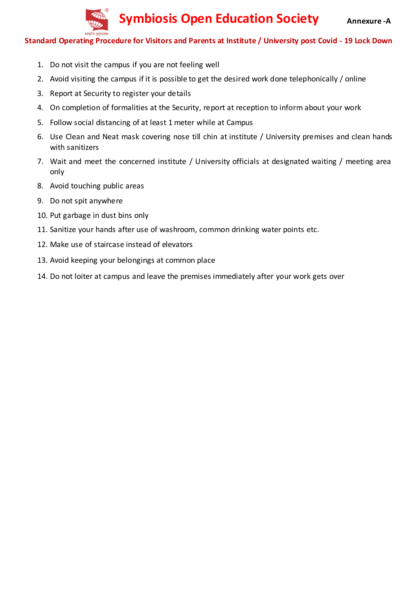

#### **Standard Operating Procedure for Visitors and Parents at Institute / University post Covid - 19 Lock Down**

- 1. Do not visit the campus if you are not feeling well
- 2. Avoid visiting the campus if it is possible to get the desired work done telephonically / online
- 3. Report at Security to register your details
- 4. On completion of formalities at the Security, report at reception to inform about your work
- 5. Follow social distancing of at least 1 meter while at Campus
- 6. Use Clean and Neat mask covering nose till chin at institute / University premises and clean hands with sanitizers
- 7. Wait and meet the concerned institute / University officials at designated waiting / meeting area only
- 8. Avoid touching public areas
- 9. Do not spit anywhere
- 10. Put garbage in dust bins only
- 11. Sanitize your hands after use of washroom, common drinking water points etc.
- 12. Make use of staircase instead of elevators
- 13. Avoid keeping your belongings at common place
- 14. Do not loiter at campus and leave the premises immediately after your work gets over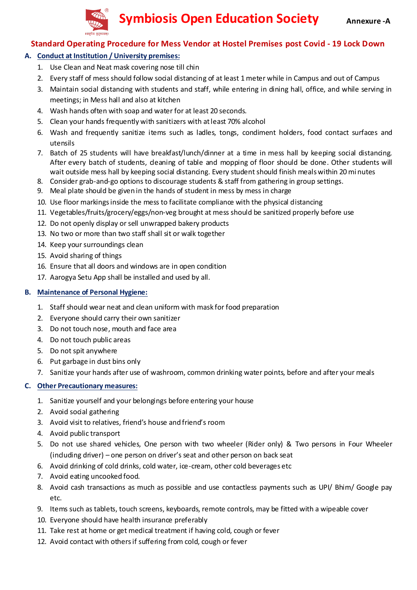

## **Standard Operating Procedure for Mess Vendor at Hostel Premises post Covid - 19 Lock Down**

#### **A. Conduct at Institution / University premises:**

- 1. Use Clean and Neat mask covering nose till chin
- 2. Every staff of mess should follow social distancing of at least 1 meter while in Campus and out of Campus
- 3. Maintain social distancing with students and staff, while entering in dining hall, office, and while serving in meetings; in Mess hall and also at kitchen
- 4. Wash hands often with soap and water for at least 20 seconds.
- 5. Clean your hands frequently with sanitizers with at least 70% alcohol
- 6. Wash and frequently sanitize items such as ladles, tongs, condiment holders, food contact surfaces and utensils
- 7. Batch of 25 students will have breakfast/lunch/dinner at a time in mess hall by keeping social distancing. After every batch of students, deaning of table and mopping of floor should be done. Other students will wait outside mess hall by keeping social distancing. Every student should finish meals within 20 mi nutes
- 8. Consider grab-and-go options to discourage students & staff from gathering in group settings.
- 9. Meal plate should be given in the hands of student in mess by mess in charge
- 10. Use floor markings inside the mess to facilitate compliance with the physical distancing
- 11. Vegetables/fruits/grocery/eggs/non-veg brought at mess should be sanitized properly before use
- 12. Do not openly display or sell unwrapped bakery products
- 13. No two or more than two staff shall sit or walk together
- 14. Keep your surroundings clean
- 15. Avoid sharing of things
- 16. Ensure that all doors and windows are in open condition
- 17. Aarogya Setu App shall be installed and used by all.

#### **B. Maintenance of Personal Hygiene:**

- 1. Staff should wear neat and clean uniform with mask for food preparation
- 2. Everyone should carry their own sanitizer
- 3. Do not touch nose, mouth and face area
- 4. Do not touch public areas
- 5. Do not spit anywhere
- 6. Put garbage in dust bins only
- 7. Sanitize your hands after use of washroom, common drinking water points, before and after your meals

- 1. Sanitize yourself and your belongings before entering your house
- 2. Avoid social gathering
- 3. Avoid visit to relatives, friend's house and friend's room
- 4. Avoid public transport
- 5. Do not use shared vehicles, One person with two wheeler (Rider only) & Two persons in Four Wheeler (including driver) – one person on driver's seat and other person on back seat
- 6. Avoid drinking of cold drinks, cold water, ice-cream, other cold beverages etc
- 7. Avoid eating uncooked food.
- 8. Avoid cash transactions as much as possible and use contactless payments such as UPI/ Bhim/ Google pay etc.
- 9. Items such as tablets, touch screens, keyboards, remote controls, may be fitted with a wipeable cover
- 10. Everyone should have health insurance preferably
- 11. Take rest at home or get medical treatment if having cold, cough or fever
- 12. Avoid contact with others if suffering from cold, cough or fever